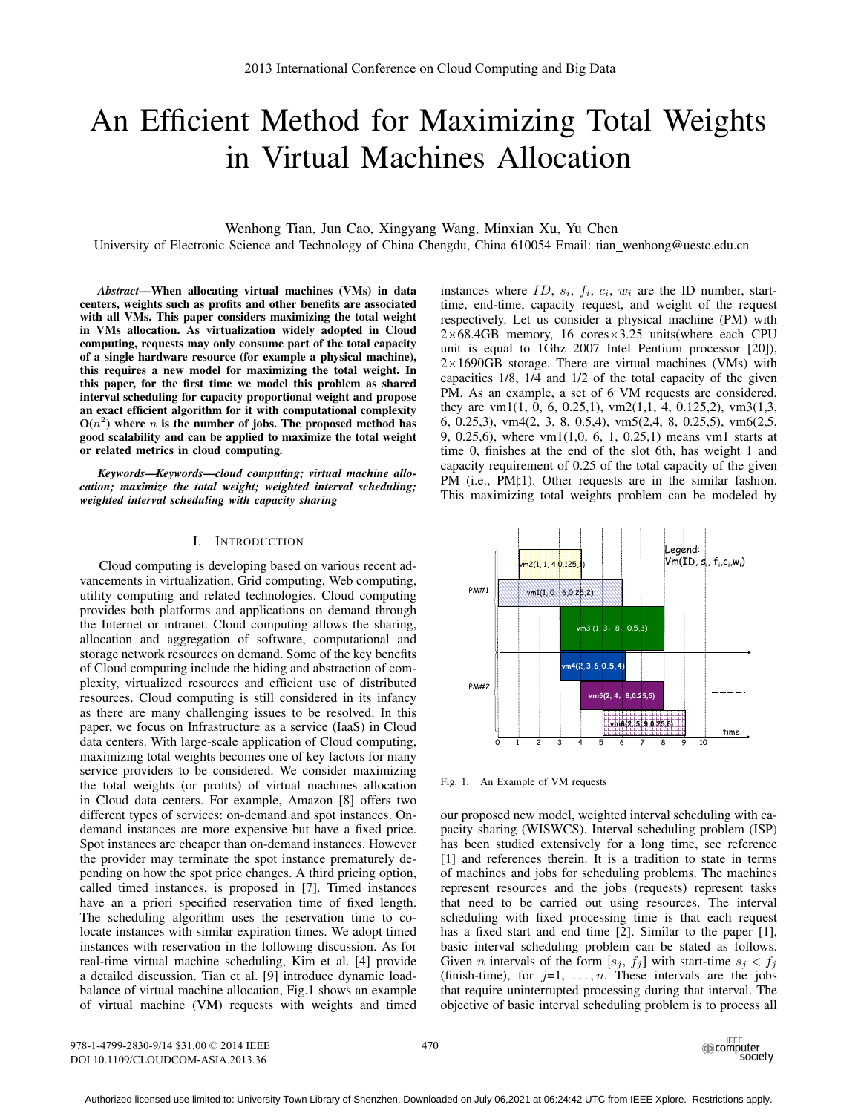# An Efficient Method for Maximizing Total Weights in Virtual Machines Allocation

Wenhong Tian, Jun Cao, Xingyang Wang, Minxian Xu, Yu Chen

University of Electronic Science and Technology of China Chengdu, China 610054 Email: tian wenhong@uestc.edu.cn

*Abstract*—When allocating virtual machines (VMs) in data centers, weights such as profits and other benefits are associated with all VMs. This paper considers maximizing the total weight in VMs allocation. As virtualization widely adopted in Cloud computing, requests may only consume part of the total capacity of a single hardware resource (for example a physical machine), this requires a new model for maximizing the total weight. In this paper, for the first time we model this problem as shared interval scheduling for capacity proportional weight and propose an exact efficient algorithm for it with computational complexity  $O(n^2)$  where *n* is the number of jobs. The proposed method has good scalability and can be applied to maximize the total weight or related metrics in cloud computing.

*Keywords*—*Keywords*—*cloud computing; virtual machine allocation; maximize the total weight; weighted interval scheduling; weighted interval scheduling with capacity sharing*

## I. INTRODUCTION

Cloud computing is developing based on various recent advancements in virtualization, Grid computing, Web computing, utility computing and related technologies. Cloud computing provides both platforms and applications on demand through the Internet or intranet. Cloud computing allows the sharing, allocation and aggregation of software, computational and storage network resources on demand. Some of the key benefits of Cloud computing include the hiding and abstraction of complexity, virtualized resources and efficient use of distributed resources. Cloud computing is still considered in its infancy as there are many challenging issues to be resolved. In this paper, we focus on Infrastructure as a service (IaaS) in Cloud data centers. With large-scale application of Cloud computing, maximizing total weights becomes one of key factors for many service providers to be considered. We consider maximizing the total weights (or profits) of virtual machines allocation in Cloud data centers. For example, Amazon [8] offers two different types of services: on-demand and spot instances. Ondemand instances are more expensive but have a fixed price. Spot instances are cheaper than on-demand instances. However the provider may terminate the spot instance prematurely depending on how the spot price changes. A third pricing option, called timed instances, is proposed in [7]. Timed instances have an a priori specified reservation time of fixed length. The scheduling algorithm uses the reservation time to colocate instances with similar expiration times. We adopt timed instances with reservation in the following discussion. As for real-time virtual machine scheduling, Kim et al. [4] provide a detailed discussion. Tian et al. [9] introduce dynamic loadbalance of virtual machine allocation, Fig.1 shows an example of virtual machine (VM) requests with weights and timed instances where ID,  $s_i$ ,  $f_i$ ,  $c_i$ ,  $w_i$  are the ID number, starttime, end-time, capacity request, and weight of the request respectively. Let us consider a physical machine (PM) with  $2\times 68.4GB$  memory, 16 cores $\times 3.25$  units(where each CPU unit is equal to 1Ghz 2007 Intel Pentium processor [20]),  $2\times1690GB$  storage. There are virtual machines (VMs) with capacities 1/8, 1/4 and 1/2 of the total capacity of the given PM. As an example, a set of 6 VM requests are considered, they are  $vm1(1, 0, 6, 0.25, 1)$ ,  $vm2(1, 1, 4, 0.125, 2)$ ,  $vm3(1, 3, 1)$ 6, 0.25,3), vm4(2, 3, 8, 0.5,4), vm5(2,4, 8, 0.25,5), vm6(2,5, 9, 0.25,6), where vm1(1,0, 6, 1, 0.25,1) means vm1 starts at time 0, finishes at the end of the slot 6th, has weight 1 and capacity requirement of 0.25 of the total capacity of the given PM (i.e., PM#1). Other requests are in the similar fashion. This maximizing total weights problem can be modeled by



Fig. 1. An Example of VM requests

our proposed new model, weighted interval scheduling with capacity sharing (WISWCS). Interval scheduling problem (ISP) has been studied extensively for a long time, see reference [1] and references therein. It is a tradition to state in terms of machines and jobs for scheduling problems. The machines represent resources and the jobs (requests) represent tasks that need to be carried out using resources. The interval scheduling with fixed processing time is that each request has a fixed start and end time [2]. Similar to the paper [1], basic interval scheduling problem can be stated as follows. Given *n* intervals of the form  $[s_j, f_j]$  with start-time  $s_j < f_j$ (finish-time), for  $j=1, \ldots, n$ . These intervals are the jobs that require uninterrupted processing during that interval. The objective of basic interval scheduling problem is to process all

978-1-4799-2830-9/14 \$31.00 © 2014 IEEE 470 DOI 10.1109/CLOUDCOM-ASIA.2013.36

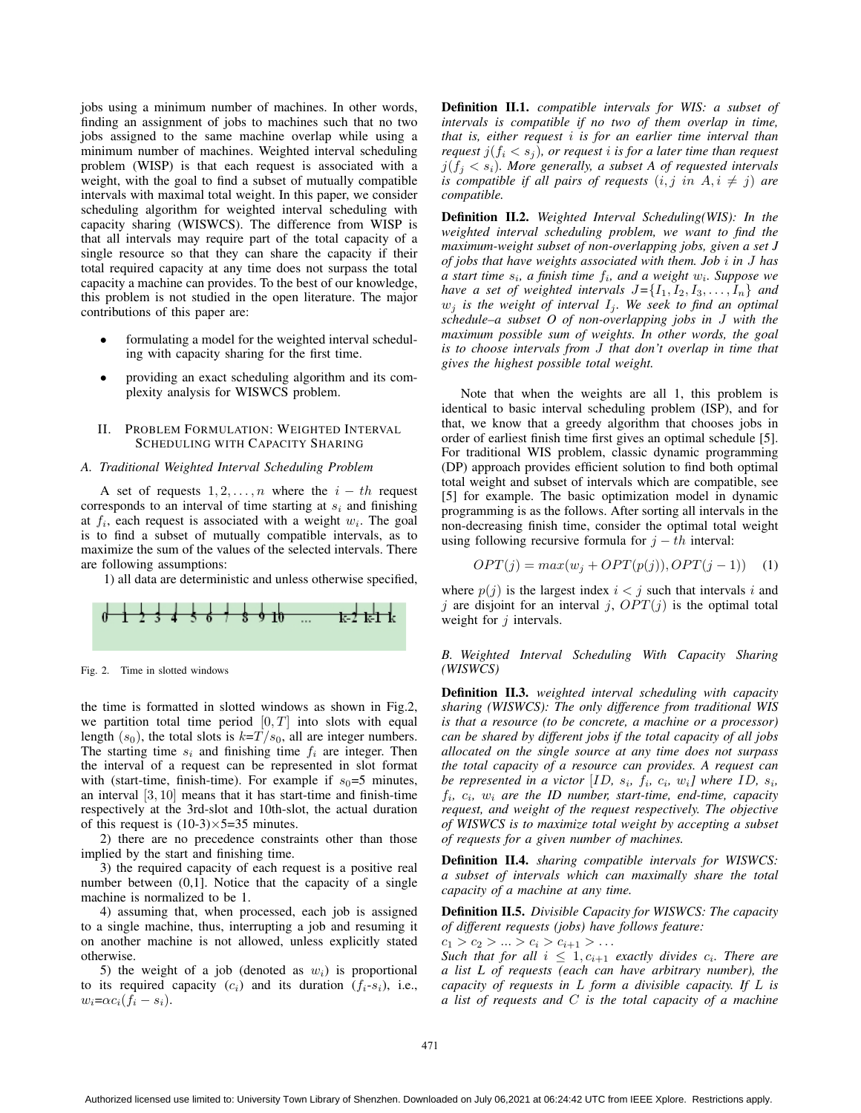jobs using a minimum number of machines. In other words, finding an assignment of jobs to machines such that no two jobs assigned to the same machine overlap while using a minimum number of machines. Weighted interval scheduling problem (WISP) is that each request is associated with a weight, with the goal to find a subset of mutually compatible intervals with maximal total weight. In this paper, we consider scheduling algorithm for weighted interval scheduling with capacity sharing (WISWCS). The difference from WISP is that all intervals may require part of the total capacity of a single resource so that they can share the capacity if their total required capacity at any time does not surpass the total capacity a machine can provides. To the best of our knowledge, this problem is not studied in the open literature. The major contributions of this paper are:

- formulating a model for the weighted interval scheduling with capacity sharing for the first time.
- providing an exact scheduling algorithm and its complexity analysis for WISWCS problem.
- II. PROBLEM FORMULATION: WEIGHTED INTERVAL SCHEDULING WITH CAPACITY SHARING

### *A. Traditional Weighted Interval Scheduling Problem*

A set of requests  $1, 2, \ldots, n$  where the  $i - th$  request corresponds to an interval of time starting at  $s_i$  and finishing at  $f_i$ , each request is associated with a weight  $w_i$ . The goal is to find a subset of mutually compatible intervals, as to maximize the sum of the values of the selected intervals. There are following assumptions:

1) all data are deterministic and unless otherwise specified,



Fig. 2. Time in slotted windows

the time is formatted in slotted windows as shown in Fig.2, we partition total time period  $[0, T]$  into slots with equal length  $(s_0)$ , the total slots is  $k=T/s_0$ , all are integer numbers. The starting time  $s_i$  and finishing time  $f_i$  are integer. Then the interval of a request can be represented in slot format with (start-time, finish-time). For example if  $s_0=5$  minutes, an interval [3, 10] means that it has start-time and finish-time respectively at the 3rd-slot and 10th-slot, the actual duration of this request is  $(10-3) \times 5=35$  minutes.

2) there are no precedence constraints other than those implied by the start and finishing time.

3) the required capacity of each request is a positive real number between (0,1]. Notice that the capacity of a single machine is normalized to be 1.

4) assuming that, when processed, each job is assigned to a single machine, thus, interrupting a job and resuming it on another machine is not allowed, unless explicitly stated otherwise.

5) the weight of a job (denoted as  $w_i$ ) is proportional to its required capacity  $(c_i)$  and its duration  $(f_i-s_i)$ , i.e.,  $w_i = \alpha c_i(f_i - s_i).$ 

Definition II.1. *compatible intervals for WIS: a subset of intervals is compatible if no two of them overlap in time, that is, either request* i *is for an earlier time interval than request*  $j(f_i \langle s_j \rangle)$ , or request *i* is for a later time than request  $j(f_i \leq s_i)$ . More generally, a subset A of requested intervals *is compatible if all pairs of requests*  $(i, j \in A, i \neq j)$  *are compatible.*

Definition II.2. *Weighted Interval Scheduling(WIS): In the weighted interval scheduling problem, we want to find the maximum-weight subset of non-overlapping jobs, given a set J of jobs that have weights associated with them. Job* i *in* J *has a start time* si*, a finish time* fi*, and a weight* wi*. Suppose we have a set of weighted intervals*  $J = \{I_1, I_2, I_3, \ldots, I_n\}$  *and*  $w_j$  *is the weight of interval*  $I_j$ *. We seek to find an optimal schedule–a subset O of non-overlapping jobs in* J *with the maximum possible sum of weights. In other words, the goal is to choose intervals from* J *that don't overlap in time that gives the highest possible total weight.*

Note that when the weights are all 1, this problem is identical to basic interval scheduling problem (ISP), and for that, we know that a greedy algorithm that chooses jobs in order of earliest finish time first gives an optimal schedule [5]. For traditional WIS problem, classic dynamic programming (DP) approach provides efficient solution to find both optimal total weight and subset of intervals which are compatible, see [5] for example. The basic optimization model in dynamic programming is as the follows. After sorting all intervals in the non-decreasing finish time, consider the optimal total weight using following recursive formula for  $j - th$  interval:

$$
OPT(j) = max(w_j + OPT(p(j)), OPT(j-1)) \quad (1)
$$

where  $p(j)$  is the largest index  $i < j$  such that intervals i and j are disjoint for an interval j,  $OPT(j)$  is the optimal total weight for  $j$  intervals.

*B. Weighted Interval Scheduling With Capacity Sharing (WISWCS)*

Definition II.3. *weighted interval scheduling with capacity sharing (WISWCS): The only difference from traditional WIS is that a resource (to be concrete, a machine or a processor) can be shared by different jobs if the total capacity of all jobs allocated on the single source at any time does not surpass the total capacity of a resource can provides. A request can be represented in a victor* [ID,  $s_i$ ,  $f_i$ ,  $c_i$ ,  $w_i$ ] where ID,  $s_i$ ,  $f_i$ ,  $c_i$ ,  $w_i$  are the ID number, start-time, end-time, capacity *request, and weight of the request respectively. The objective of WISWCS is to maximize total weight by accepting a subset of requests for a given number of machines.*

Definition II.4. *sharing compatible intervals for WISWCS: a subset of intervals which can maximally share the total capacity of a machine at any time.*

Definition II.5. *Divisible Capacity for WISWCS: The capacity of different requests (jobs) have follows feature:*

 $c_1 > c_2 > \ldots > c_i > c_{i+1} > \ldots$ 

*Such that for all*  $i \leq 1, c_{i+1}$  *exactly divides*  $c_i$ *. There are a list L of requests (each can have arbitrary number), the capacity of requests in* L *form a divisible capacity. If* L *is a list of requests and* C *is the total capacity of a machine*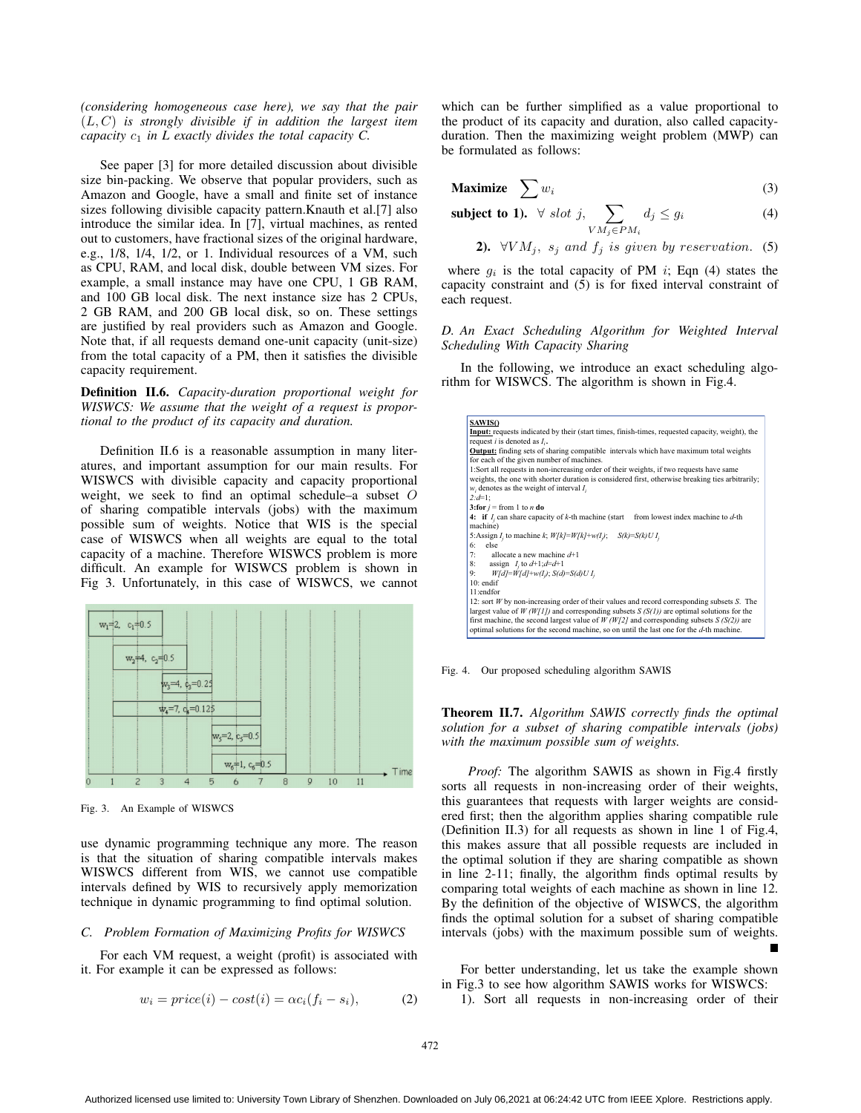*(considering homogeneous case here), we say that the pair* (L, C) *is strongly divisible if in addition the largest item capacity*  $c_1$  *in L* exactly divides the total capacity C.

See paper [3] for more detailed discussion about divisible size bin-packing. We observe that popular providers, such as Amazon and Google, have a small and finite set of instance sizes following divisible capacity pattern.Knauth et al.[7] also introduce the similar idea. In [7], virtual machines, as rented out to customers, have fractional sizes of the original hardware, e.g., 1/8, 1/4, 1/2, or 1. Individual resources of a VM, such as CPU, RAM, and local disk, double between VM sizes. For example, a small instance may have one CPU, 1 GB RAM, and 100 GB local disk. The next instance size has 2 CPUs, 2 GB RAM, and 200 GB local disk, so on. These settings are justified by real providers such as Amazon and Google. Note that, if all requests demand one-unit capacity (unit-size) from the total capacity of a PM, then it satisfies the divisible capacity requirement.

Definition II.6. *Capacity-duration proportional weight for WISWCS: We assume that the weight of a request is proportional to the product of its capacity and duration.*

Definition II.6 is a reasonable assumption in many literatures, and important assumption for our main results. For WISWCS with divisible capacity and capacity proportional weight, we seek to find an optimal schedule–a subset O of sharing compatible intervals (jobs) with the maximum possible sum of weights. Notice that WIS is the special case of WISWCS when all weights are equal to the total capacity of a machine. Therefore WISWCS problem is more difficult. An example for WISWCS problem is shown in Fig 3. Unfortunately, in this case of WISWCS, we cannot



Fig. 3. An Example of WISWCS

use dynamic programming technique any more. The reason is that the situation of sharing compatible intervals makes WISWCS different from WIS, we cannot use compatible intervals defined by WIS to recursively apply memorization technique in dynamic programming to find optimal solution.

### *C. Problem Formation of Maximizing Profits for WISWCS*

For each VM request, a weight (profit) is associated with it. For example it can be expressed as follows:

$$
w_i = price(i) - cost(i) = \alpha c_i (f_i - s_i), \tag{2}
$$

which can be further simplified as a value proportional to the product of its capacity and duration, also called capacityduration. Then the maximizing weight problem (MWP) can be formulated as follows:

$$
\text{Maximize} \quad \sum w_i \tag{3}
$$

$$
\text{subject to 1).} \quad \forall \; slot \; j, \sum_{VM_j \in PM_i} d_j \leq g_i \tag{4}
$$

**2).** 
$$
\forall VM_j
$$
,  $s_j$  and  $f_j$  is given by reservation. (5)

where  $g_i$  is the total capacity of PM i; Eqn (4) states the capacity constraint and (5) is for fixed interval constraint of each request.

*D. An Exact Scheduling Algorithm for Weighted Interval Scheduling With Capacity Sharing*

In the following, we introduce an exact scheduling algorithm for WISWCS. The algorithm is shown in Fig.4.

| SAWIS()                                                                                                |
|--------------------------------------------------------------------------------------------------------|
| Input: requests indicated by their (start times, finish-times, requested capacity, weight), the        |
| request $i$ is denoted as $I_i$ .                                                                      |
| <b>Output:</b> finding sets of sharing compatible intervals which have maximum total weights           |
| for each of the given number of machines.                                                              |
| 1:Sort all requests in non-increasing order of their weights, if two requests have same                |
| weights, the one with shorter duration is considered first, otherwise breaking ties arbitrarily;       |
| $w_i$ , denotes as the weight of interval $I_i$                                                        |
| $2:d=1$ ;                                                                                              |
| 3: for $i =$ from 1 to <i>n</i> do                                                                     |
| 4: if $I_i$ can share capacity of k-th machine (start from lowest index machine to $d$ -th<br>machine) |
|                                                                                                        |
| 5:Assign I <sub>i</sub> to machine k; $W[k]=W[k]+w(I_i)$ ; $S(k)=S(k)U I_i$<br>$6:$ else               |
| 7: allocate a new machine $d+1$                                                                        |
| 8: assign $I_i$ to $d+1; d=d+1$                                                                        |
| 9: $W[d] = W[d] + w(I); S(d) = S(d)U I$                                                                |
| $10:$ endif                                                                                            |
| 11:endfor                                                                                              |
| 12: sort $W$ by non-increasing order of their values and record corresponding subsets $S$ . The        |
| largest value of $W(W I)$ and corresponding subsets $S(S(I))$ are optimal solutions for the            |
| first machine, the second largest value of $W(W/2)$ and corresponding subsets $S(S(2))$ are            |
| optimal solutions for the second machine, so on until the last one for the $d$ -th machine.            |

Fig. 4. Our proposed scheduling algorithm SAWIS

Theorem II.7. *Algorithm SAWIS correctly finds the optimal solution for a subset of sharing compatible intervals (jobs) with the maximum possible sum of weights.*

*Proof:* The algorithm SAWIS as shown in Fig.4 firstly sorts all requests in non-increasing order of their weights, this guarantees that requests with larger weights are considered first; then the algorithm applies sharing compatible rule (Definition II.3) for all requests as shown in line 1 of Fig.4, this makes assure that all possible requests are included in the optimal solution if they are sharing compatible as shown in line 2-11; finally, the algorithm finds optimal results by comparing total weights of each machine as shown in line 12. By the definition of the objective of WISWCS, the algorithm finds the optimal solution for a subset of sharing compatible intervals (jobs) with the maximum possible sum of weights.

For better understanding, let us take the example shown in Fig.3 to see how algorithm SAWIS works for WISWCS:

1). Sort all requests in non-increasing order of their